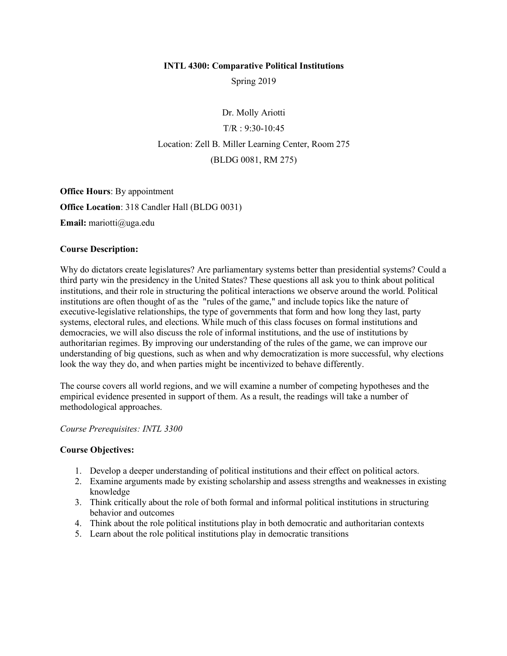#### **INTL 4300: Comparative Political Institutions**

Spring 2019

Dr. Molly Ariotti  $T/R : 9:30-10:45$ Location: Zell B. Miller Learning Center, Room 275 (BLDG 0081, RM 275)

**Office Hours**: By appointment **Office Location**: 318 Candler Hall (BLDG 0031)

**Email:** mariotti@uga.edu

### **Course Description:**

Why do dictators create legislatures? Are parliamentary systems better than presidential systems? Could a third party win the presidency in the United States? These questions all ask you to think about political institutions, and their role in structuring the political interactions we observe around the world. Political institutions are often thought of as the "rules of the game," and include topics like the nature of executive-legislative relationships, the type of governments that form and how long they last, party systems, electoral rules, and elections. While much of this class focuses on formal institutions and democracies, we will also discuss the role of informal institutions, and the use of institutions by authoritarian regimes. By improving our understanding of the rules of the game, we can improve our understanding of big questions, such as when and why democratization is more successful, why elections look the way they do, and when parties might be incentivized to behave differently.

The course covers all world regions, and we will examine a number of competing hypotheses and the empirical evidence presented in support of them. As a result, the readings will take a number of methodological approaches.

#### *Course Prerequisites: INTL 3300*

### **Course Objectives:**

- 1. Develop a deeper understanding of political institutions and their effect on political actors.
- 2. Examine arguments made by existing scholarship and assess strengths and weaknesses in existing knowledge
- 3. Think critically about the role of both formal and informal political institutions in structuring behavior and outcomes
- 4. Think about the role political institutions play in both democratic and authoritarian contexts
- 5. Learn about the role political institutions play in democratic transitions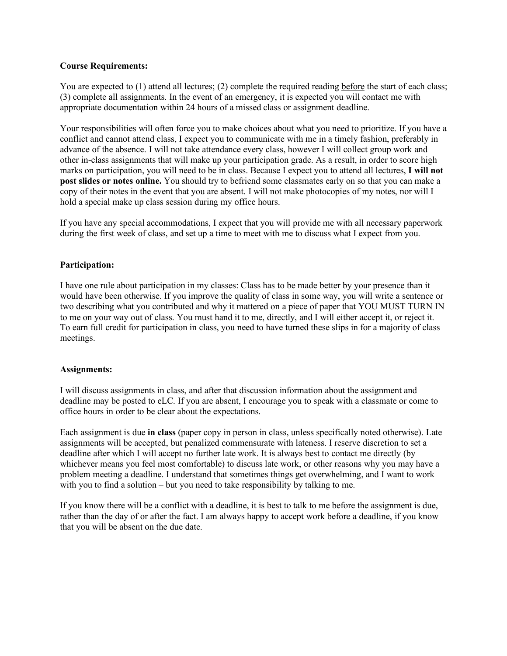### **Course Requirements:**

You are expected to (1) attend all lectures; (2) complete the required reading before the start of each class; (3) complete all assignments. In the event of an emergency, it is expected you will contact me with appropriate documentation within 24 hours of a missed class or assignment deadline.

Your responsibilities will often force you to make choices about what you need to prioritize. If you have a conflict and cannot attend class, I expect you to communicate with me in a timely fashion, preferably in advance of the absence. I will not take attendance every class, however I will collect group work and other in-class assignments that will make up your participation grade. As a result, in order to score high marks on participation, you will need to be in class. Because I expect you to attend all lectures, **I will not post slides or notes online.** You should try to befriend some classmates early on so that you can make a copy of their notes in the event that you are absent. I will not make photocopies of my notes, nor will I hold a special make up class session during my office hours.

If you have any special accommodations, I expect that you will provide me with all necessary paperwork during the first week of class, and set up a time to meet with me to discuss what I expect from you.

## **Participation:**

I have one rule about participation in my classes: Class has to be made better by your presence than it would have been otherwise. If you improve the quality of class in some way, you will write a sentence or two describing what you contributed and why it mattered on a piece of paper that YOU MUST TURN IN to me on your way out of class. You must hand it to me, directly, and I will either accept it, or reject it. To earn full credit for participation in class, you need to have turned these slips in for a majority of class meetings.

### **Assignments:**

I will discuss assignments in class, and after that discussion information about the assignment and deadline may be posted to eLC. If you are absent, I encourage you to speak with a classmate or come to office hours in order to be clear about the expectations.

Each assignment is due **in class** (paper copy in person in class, unless specifically noted otherwise). Late assignments will be accepted, but penalized commensurate with lateness. I reserve discretion to set a deadline after which I will accept no further late work. It is always best to contact me directly (by whichever means you feel most comfortable) to discuss late work, or other reasons why you may have a problem meeting a deadline. I understand that sometimes things get overwhelming, and I want to work with you to find a solution – but you need to take responsibility by talking to me.

If you know there will be a conflict with a deadline, it is best to talk to me before the assignment is due, rather than the day of or after the fact. I am always happy to accept work before a deadline, if you know that you will be absent on the due date.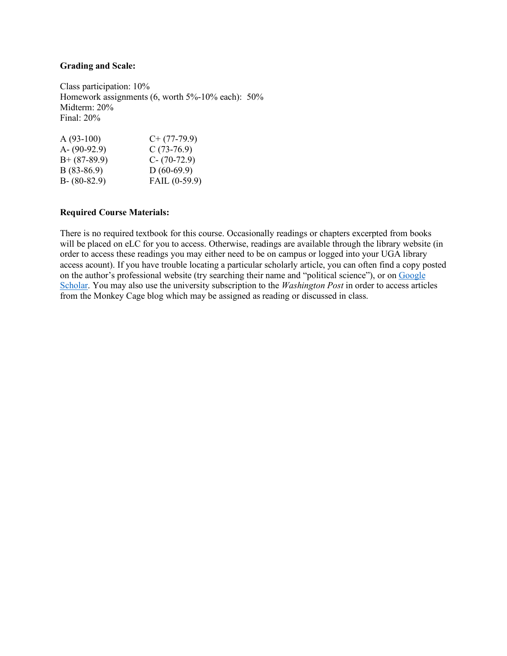### **Grading and Scale:**

Class participation: 10% Homework assignments  $(6,$  worth  $5\%$ -10% each):  $50\%$ Midterm: 20% Final: 20%

| $A(93-100)$     | $C+$ (77-79.9)  |
|-----------------|-----------------|
| A- $(90-92.9)$  | $C(73-76.9)$    |
| $B+ (87-89.9)$  | $C - (70-72.9)$ |
| $B(83-86.9)$    | $D(60-69.9)$    |
| $B - (80-82.9)$ | FAIL $(0-59.9)$ |
|                 |                 |

#### **Required Course Materials:**

There is no required textbook for this course. Occasionally readings or chapters excerpted from books will be placed on eLC for you to access. Otherwise, readings are available through the library website (in order to access these readings you may either need to be on campus or logged into your UGA library access acount). If you have trouble locating a particular scholarly article, you can often find a copy posted on the author's professional website (try searching their name and "political science"), or on Google Scholar. You may also use the university subscription to the *Washington Post* in order to access articles from the Monkey Cage blog which may be assigned as reading or discussed in class.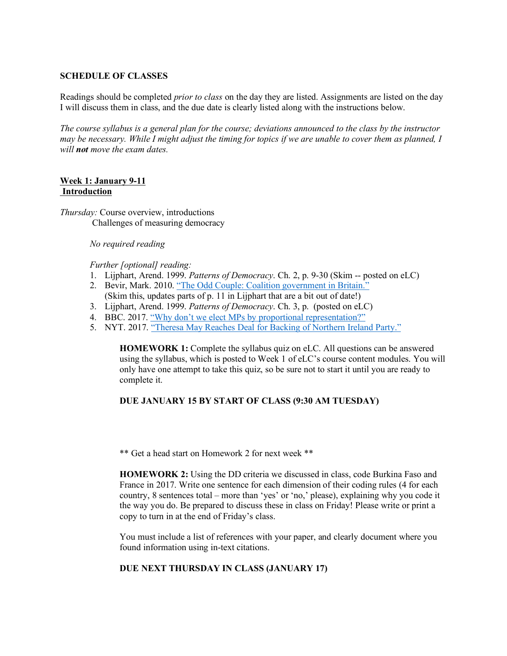### **SCHEDULE OF CLASSES**

Readings should be completed *prior to class* on the day they are listed. Assignments are listed on the day I will discuss them in class, and the due date is clearly listed along with the instructions below.

*The course syllabus is a general plan for the course; deviations announced to the class by the instructor may be necessary. While I might adjust the timing for topics if we are unable to cover them as planned, I will not move the exam dates.*

#### **Week 1: January 9-11 Introduction**

*Thursday:* Course overview, introductions Challenges of measuring democracy

#### *No required reading*

*Further [optional] reading:*

- 1. Lijphart, Arend. 1999. *Patterns of Democracy*. Ch. 2, p. 9-30 (Skim -- posted on eLC)
- 2. Bevir, Mark. 2010. "The Odd Couple: Coalition government in Britain." (Skim this, updates parts of p. 11 in Lijphart that are a bit out of date!)
- 3. Lijphart, Arend. 1999. *Patterns of Democracy*. Ch. 3, p. (posted on eLC)
- 4. BBC. 2017. "Why don't we elect MPs by proportional representation?"
- 5. NYT. 2017. "Theresa May Reaches Deal for Backing of Northern Ireland Party."

**HOMEWORK 1:** Complete the syllabus quiz on eLC. All questions can be answered using the syllabus, which is posted to Week 1 of eLC's course content modules. You will only have one attempt to take this quiz, so be sure not to start it until you are ready to complete it.

### **DUE JANUARY 15 BY START OF CLASS (9:30 AM TUESDAY)**

\*\* Get a head start on Homework 2 for next week \*\*

**HOMEWORK 2:** Using the DD criteria we discussed in class, code Burkina Faso and France in 2017. Write one sentence for each dimension of their coding rules (4 for each country, 8 sentences total – more than 'yes' or 'no,' please), explaining why you code it the way you do. Be prepared to discuss these in class on Friday! Please write or print a copy to turn in at the end of Friday's class.

You must include a list of references with your paper, and clearly document where you found information using in-text citations.

#### **DUE NEXT THURSDAY IN CLASS (JANUARY 17)**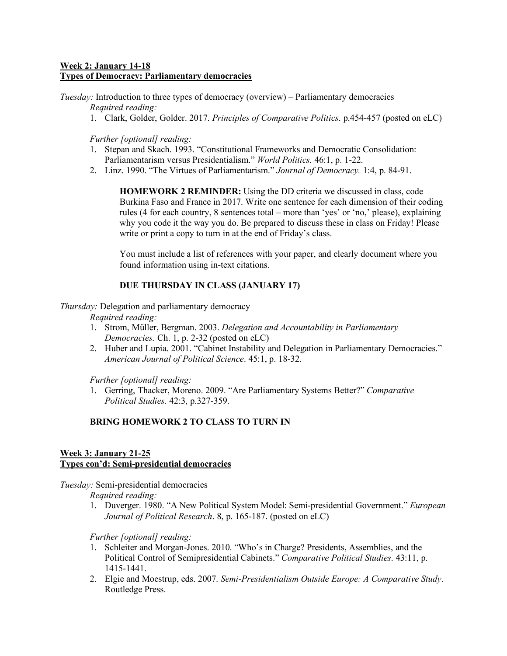## **Week 2: January 14-18 Types of Democracy: Parliamentary democracies**

*Tuesday:* Introduction to three types of democracy (overview) – Parliamentary democracies *Required reading:*

1. Clark, Golder, Golder. 2017. *Principles of Comparative Politics*. p.454-457 (posted on eLC)

*Further [optional] reading:*

- 1. Stepan and Skach. 1993. "Constitutional Frameworks and Democratic Consolidation: Parliamentarism versus Presidentialism." *World Politics.* 46:1, p. 1-22.
- 2. Linz. 1990. "The Virtues of Parliamentarism." *Journal of Democracy.* 1:4, p. 84-91.

**HOMEWORK 2 REMINDER:** Using the DD criteria we discussed in class, code Burkina Faso and France in 2017. Write one sentence for each dimension of their coding rules (4 for each country, 8 sentences total – more than 'yes' or 'no,' please), explaining why you code it the way you do. Be prepared to discuss these in class on Friday! Please write or print a copy to turn in at the end of Friday's class.

You must include a list of references with your paper, and clearly document where you found information using in-text citations.

## **DUE THURSDAY IN CLASS (JANUARY 17)**

#### *Thursday:* Delegation and parliamentary democracy

*Required reading:*

- 1. Strom, Müller, Bergman. 2003. *Delegation and Accountability in Parliamentary Democracies.* Ch. 1, p. 2-32 (posted on eLC)
- 2. Huber and Lupia. 2001. "Cabinet Instability and Delegation in Parliamentary Democracies." *American Journal of Political Science*. 45:1, p. 18-32.

*Further [optional] reading:*

1. Gerring, Thacker, Moreno. 2009. "Are Parliamentary Systems Better?" *Comparative Political Studies.* 42:3, p.327-359.

# **BRING HOMEWORK 2 TO CLASS TO TURN IN**

#### **Week 3: January 21-25 Types con'd: Semi-presidential democracies**

*Tuesday:* Semi-presidential democracies

*Required reading:*

1. Duverger. 1980. "A New Political System Model: Semi-presidential Government." *European Journal of Political Research*. 8, p. 165-187. (posted on eLC)

*Further [optional] reading:*

- 1. Schleiter and Morgan-Jones. 2010. "Who's in Charge? Presidents, Assemblies, and the Political Control of Semipresidential Cabinets." *Comparative Political Studies*. 43:11, p. 1415-1441.
- 2. Elgie and Moestrup, eds. 2007. *Semi-Presidentialism Outside Europe: A Comparative Study*. Routledge Press.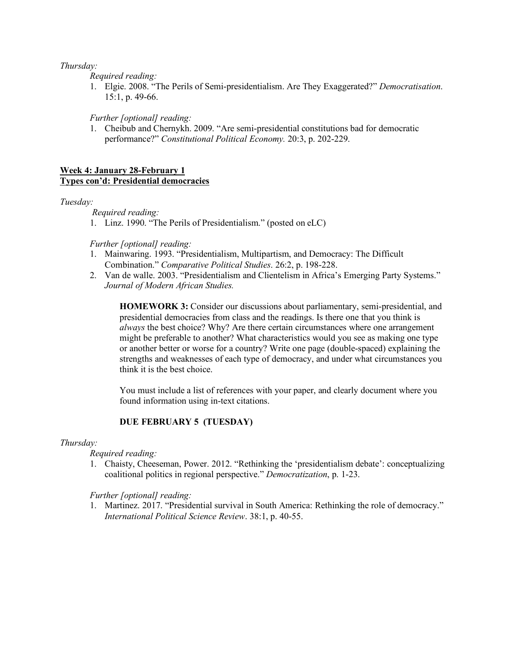### *Thursday:*

*Required reading:*

1. Elgie. 2008. "The Perils of Semi-presidentialism. Are They Exaggerated?" *Democratisation*. 15:1, p. 49-66.

# *Further [optional] reading:*

1. Cheibub and Chernykh. 2009. "Are semi-presidential constitutions bad for democratic performance?" *Constitutional Political Economy.* 20:3, p. 202-229.

### **Week 4: January 28-February 1 Types con'd: Presidential democracies**

### *Tuesday:*

*Required reading:*

1. Linz. 1990. "The Perils of Presidentialism." (posted on eLC)

#### *Further [optional] reading:*

- 1. Mainwaring. 1993. "Presidentialism, Multipartism, and Democracy: The Difficult Combination." *Comparative Political Studies*. 26:2, p. 198-228.
- 2. Van de walle. 2003. "Presidentialism and Clientelism in Africa's Emerging Party Systems." *Journal of Modern African Studies.*

**HOMEWORK 3:** Consider our discussions about parliamentary, semi-presidential, and presidential democracies from class and the readings. Is there one that you think is *always* the best choice? Why? Are there certain circumstances where one arrangement might be preferable to another? What characteristics would you see as making one type or another better or worse for a country? Write one page (double-spaced) explaining the strengths and weaknesses of each type of democracy, and under what circumstances you think it is the best choice.

You must include a list of references with your paper, and clearly document where you found information using in-text citations.

### **DUE FEBRUARY 5 (TUESDAY)**

#### *Thursday:*

### *Required reading:*

1. Chaisty, Cheeseman, Power. 2012. "Rethinking the 'presidentialism debate': conceptualizing coalitional politics in regional perspective." *Democratization*, p. 1-23.

#### *Further [optional] reading:*

1. Martinez. 2017. "Presidential survival in South America: Rethinking the role of democracy." *International Political Science Review*. 38:1, p. 40-55.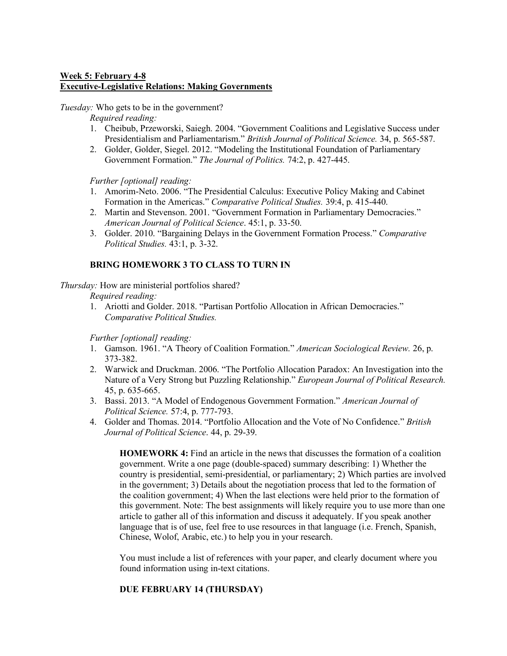# **Week 5: February 4-8 Executive-Legislative Relations: Making Governments**

*Tuesday:* Who gets to be in the government?

*Required reading:*

- 1. Cheibub, Przeworski, Saiegh. 2004. "Government Coalitions and Legislative Success under Presidentialism and Parliamentarism." *British Journal of Political Science.* 34, p. 565-587.
- 2. Golder, Golder, Siegel. 2012. "Modeling the Institutional Foundation of Parliamentary Government Formation." *The Journal of Politics.* 74:2, p. 427-445.

*Further [optional] reading:*

- 1. Amorim-Neto. 2006. "The Presidential Calculus: Executive Policy Making and Cabinet Formation in the Americas." *Comparative Political Studies.* 39:4, p. 415-440.
- 2. Martin and Stevenson. 2001. "Government Formation in Parliamentary Democracies." *American Journal of Political Science*. 45:1, p. 33-50.
- 3. Golder. 2010. "Bargaining Delays in the Government Formation Process." *Comparative Political Studies.* 43:1, p. 3-32.

# **BRING HOMEWORK 3 TO CLASS TO TURN IN**

*Thursday:* How are ministerial portfolios shared?

*Required reading:*

1. Ariotti and Golder. 2018. "Partisan Portfolio Allocation in African Democracies." *Comparative Political Studies.*

*Further [optional] reading:*

- 1. Gamson. 1961. "A Theory of Coalition Formation." *American Sociological Review.* 26, p. 373-382.
- 2. Warwick and Druckman. 2006. "The Portfolio Allocation Paradox: An Investigation into the Nature of a Very Strong but Puzzling Relationship." *European Journal of Political Research.* 45, p. 635-665.
- 3. Bassi. 2013. "A Model of Endogenous Government Formation." *American Journal of Political Science.* 57:4, p. 777-793.
- 4. Golder and Thomas. 2014. "Portfolio Allocation and the Vote of No Confidence." *British Journal of Political Science*. 44, p. 29-39.

**HOMEWORK 4:** Find an article in the news that discusses the formation of a coalition government. Write a one page (double-spaced) summary describing: 1) Whether the country is presidential, semi-presidential, or parliamentary; 2) Which parties are involved in the government; 3) Details about the negotiation process that led to the formation of the coalition government; 4) When the last elections were held prior to the formation of this government. Note: The best assignments will likely require you to use more than one article to gather all of this information and discuss it adequately. If you speak another language that is of use, feel free to use resources in that language (i.e. French, Spanish, Chinese, Wolof, Arabic, etc.) to help you in your research.

You must include a list of references with your paper, and clearly document where you found information using in-text citations.

# **DUE FEBRUARY 14 (THURSDAY)**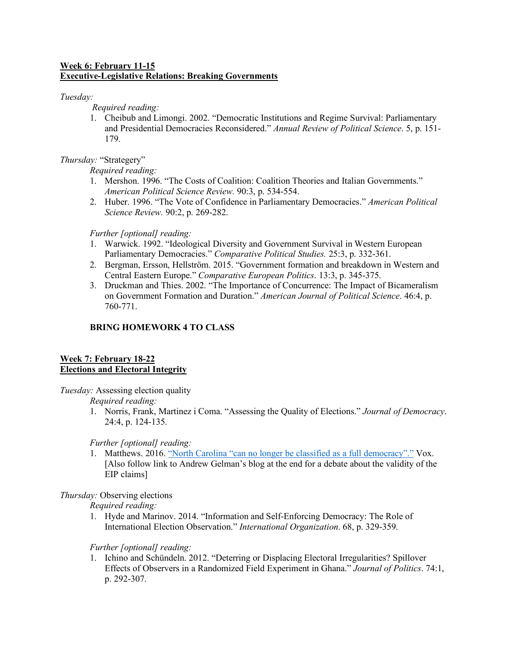## **Week 6: February 11-15 Executive-Legislative Relations: Breaking Governments**

## *Tuesday:*

*Required reading:*

1. Cheibub and Limongi. 2002. "Democratic Institutions and Regime Survival: Parliamentary and Presidential Democracies Reconsidered." *Annual Review of Political Science*. 5, p. 151- 179.

# *Thursday:* "Strategery"

# *Required reading:*

- 1. Mershon. 1996. "The Costs of Coalition: Coalition Theories and Italian Governments." *American Political Science Review.* 90:3, p. 534-554.
- 2. Huber. 1996. "The Vote of Confidence in Parliamentary Democracies." *American Political Science Review.* 90:2, p. 269-282.

# *Further [optional] reading:*

- 1. Warwick. 1992. "Ideological Diversity and Government Survival in Western European Parliamentary Democracies." *Comparative Political Studies.* 25:3, p. 332-361.
- 2. Bergman, Ersson, Hellström. 2015. "Government formation and breakdown in Western and Central Eastern Europe." *Comparative European Politics*. 13:3, p. 345-375.
- 3. Druckman and Thies. 2002. "The Importance of Concurrence: The Impact of Bicameralism on Government Formation and Duration." *American Journal of Political Science*. 46:4, p. 760-771.

# **BRING HOMEWORK 4 TO CLASS**

## **Week 7: February 18-22 Elections and Electoral Integrity**

*Tuesday:* Assessing election quality

*Required reading:*

1. Norris, Frank, Martinez i Coma. "Assessing the Quality of Elections." *Journal of Democracy*. 24:4, p. 124-135.

*Further [optional] reading:*

1. Matthews. 2016. "North Carolina "can no longer be classified as a full democracy"." Vox. [Also follow link to Andrew Gelman's blog at the end for a debate about the validity of the EIP claims]

# *Thursday:* Observing elections

*Required reading:*

1. Hyde and Marinov. 2014. "Information and Self-Enforcing Democracy: The Role of International Election Observation." *International Organization*. 68, p. 329-359.

# *Further [optional] reading:*

1. Ichino and Schündeln. 2012. "Deterring or Displacing Electoral Irregularities? Spillover Effects of Observers in a Randomized Field Experiment in Ghana." *Journal of Politics*. 74:1, p. 292-307.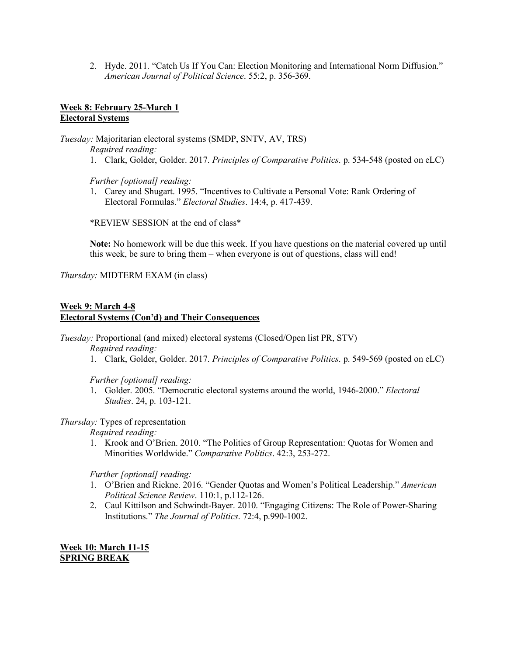2. Hyde. 2011. "Catch Us If You Can: Election Monitoring and International Norm Diffusion." *American Journal of Political Science*. 55:2, p. 356-369.

# **Week 8: February 25-March 1 Electoral Systems**

*Tuesday:* Majoritarian electoral systems (SMDP, SNTV, AV, TRS)

*Required reading:*

1. Clark, Golder, Golder. 2017. *Principles of Comparative Politics*. p. 534-548 (posted on eLC)

*Further [optional] reading:*

1. Carey and Shugart. 1995. "Incentives to Cultivate a Personal Vote: Rank Ordering of Electoral Formulas." *Electoral Studies*. 14:4, p. 417-439.

\*REVIEW SESSION at the end of class\*

**Note:** No homework will be due this week. If you have questions on the material covered up until this week, be sure to bring them – when everyone is out of questions, class will end!

*Thursday:* MIDTERM EXAM (in class)

# **Week 9: March 4-8 Electoral Systems (Con'd) and Their Consequences**

*Tuesday:* Proportional (and mixed) electoral systems (Closed/Open list PR, STV)

*Required reading:*

1. Clark, Golder, Golder. 2017. *Principles of Comparative Politics*. p. 549-569 (posted on eLC)

*Further [optional] reading:*

1. Golder. 2005. "Democratic electoral systems around the world, 1946-2000." *Electoral Studies*. 24, p. 103-121.

## *Thursday:* Types of representation

*Required reading:*

1. Krook and O'Brien. 2010. "The Politics of Group Representation: Quotas for Women and Minorities Worldwide." *Comparative Politics*. 42:3, 253-272.

*Further [optional] reading:*

- 1. O'Brien and Rickne. 2016. "Gender Quotas and Women's Political Leadership." *American Political Science Review*. 110:1, p.112-126.
- 2. Caul Kittilson and Schwindt-Bayer. 2010. "Engaging Citizens: The Role of Power-Sharing Institutions." *The Journal of Politics*. 72:4, p.990-1002.

**Week 10: March 11-15 SPRING BREAK**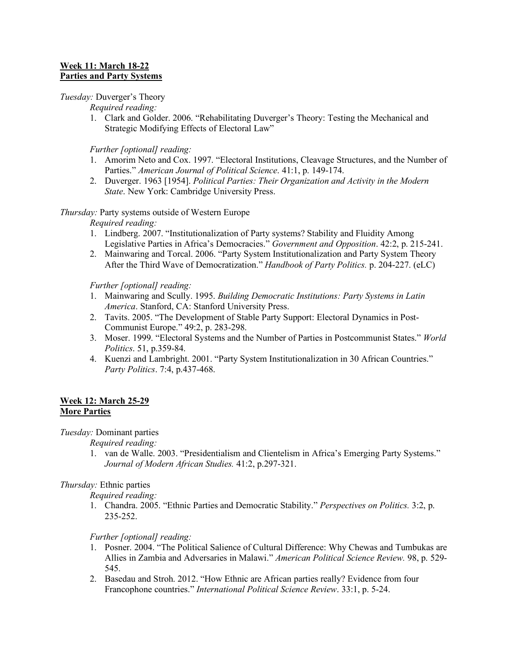### **Week 11: March 18-22 Parties and Party Systems**

## *Tuesday:* Duverger's Theory

*Required reading:*

1. Clark and Golder. 2006. "Rehabilitating Duverger's Theory: Testing the Mechanical and Strategic Modifying Effects of Electoral Law"

*Further [optional] reading:*

- 1. Amorim Neto and Cox. 1997. "Electoral Institutions, Cleavage Structures, and the Number of Parties." *American Journal of Political Science*. 41:1, p. 149-174.
- 2. Duverger. 1963 [1954]. *Political Parties: Their Organization and Activity in the Modern State*. New York: Cambridge University Press.

## *Thursday:* Party systems outside of Western Europe

*Required reading:*

- 1. Lindberg. 2007. "Institutionalization of Party systems? Stability and Fluidity Among Legislative Parties in Africa's Democracies." *Government and Opposition*. 42:2, p. 215-241.
- 2. Mainwaring and Torcal. 2006. "Party System Institutionalization and Party System Theory After the Third Wave of Democratization." *Handbook of Party Politics.* p. 204-227. (eLC)

*Further [optional] reading:*

- 1. Mainwaring and Scully. 1995. *Building Democratic Institutions: Party Systems in Latin America*. Stanford, CA: Stanford University Press.
- 2. Tavits. 2005. "The Development of Stable Party Support: Electoral Dynamics in Post-Communist Europe." 49:2, p. 283-298.
- 3. Moser. 1999. "Electoral Systems and the Number of Parties in Postcommunist States." *World Politics*. 51, p.359-84.
- 4. Kuenzi and Lambright. 2001. "Party System Institutionalization in 30 African Countries." *Party Politics*. 7:4, p.437-468.

### **Week 12: March 25-29 More Parties**

*Tuesday:* Dominant parties

*Required reading:*

1. van de Walle. 2003. "Presidentialism and Clientelism in Africa's Emerging Party Systems." *Journal of Modern African Studies.* 41:2, p.297-321.

# *Thursday:* Ethnic parties

*Required reading:*

1. Chandra. 2005. "Ethnic Parties and Democratic Stability." *Perspectives on Politics.* 3:2, p. 235-252.

# *Further [optional] reading:*

- 1. Posner. 2004. "The Political Salience of Cultural Difference: Why Chewas and Tumbukas are Allies in Zambia and Adversaries in Malawi." *American Political Science Review.* 98, p. 529- 545.
- 2. Basedau and Stroh. 2012. "How Ethnic are African parties really? Evidence from four Francophone countries." *International Political Science Review*. 33:1, p. 5-24.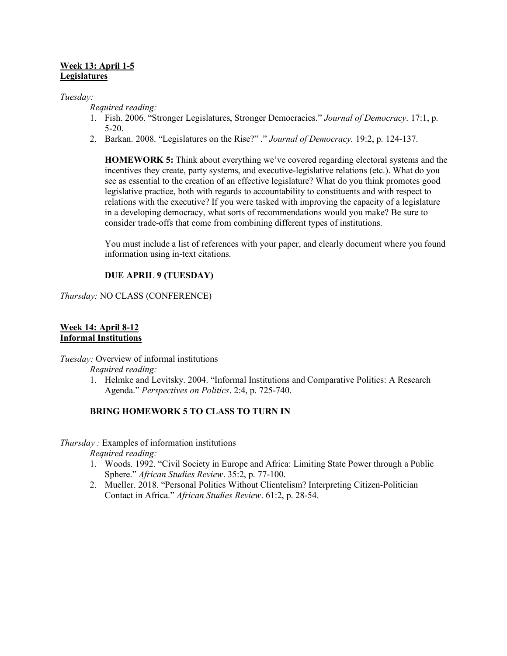### **Week 13: April 1-5 Legislatures**

### *Tuesday:*

*Required reading:*

- 1. Fish. 2006. "Stronger Legislatures, Stronger Democracies." *Journal of Democracy*. 17:1, p. 5-20.
- 2. Barkan. 2008. "Legislatures on the Rise?" ." *Journal of Democracy.* 19:2, p. 124-137.

**HOMEWORK 5:** Think about everything we've covered regarding electoral systems and the incentives they create, party systems, and executive-legislative relations (etc.). What do you see as essential to the creation of an effective legislature? What do you think promotes good legislative practice, both with regards to accountability to constituents and with respect to relations with the executive? If you were tasked with improving the capacity of a legislature in a developing democracy, what sorts of recommendations would you make? Be sure to consider trade-offs that come from combining different types of institutions.

You must include a list of references with your paper, and clearly document where you found information using in-text citations.

# **DUE APRIL 9 (TUESDAY)**

*Thursday:* NO CLASS (CONFERENCE)

#### **Week 14: April 8-12 Informal Institutions**

*Tuesday:* Overview of informal institutions

*Required reading:*

1. Helmke and Levitsky. 2004. "Informal Institutions and Comparative Politics: A Research Agenda." *Perspectives on Politics*. 2:4, p. 725-740.

### **BRING HOMEWORK 5 TO CLASS TO TURN IN**

*Thursday :* Examples of information institutions

*Required reading:*

- 1. Woods. 1992. "Civil Society in Europe and Africa: Limiting State Power through a Public Sphere." *African Studies Review*. 35:2, p. 77-100.
- 2. Mueller. 2018. "Personal Politics Without Clientelism? Interpreting Citizen-Politician Contact in Africa." *African Studies Review*. 61:2, p. 28-54.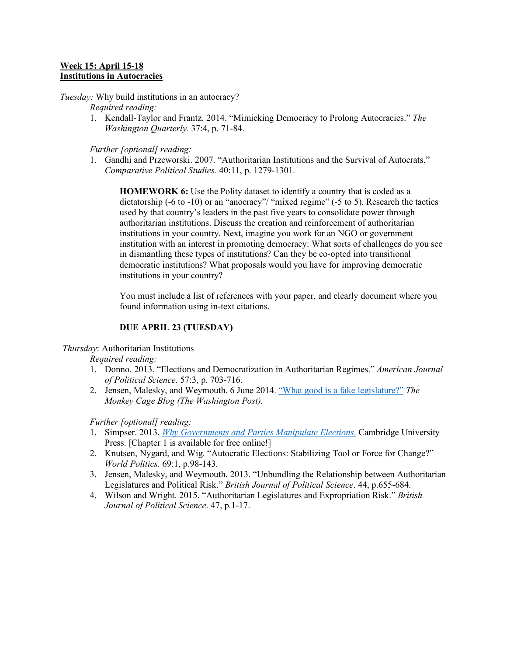### **Week 15: April 15-18 Institutions in Autocracies**

*Tuesday:* Why build institutions in an autocracy?

*Required reading:*

1. Kendall-Taylor and Frantz. 2014. "Mimicking Democracy to Prolong Autocracies." *The Washington Quarterly.* 37:4, p. 71-84.

*Further [optional] reading:*

1. Gandhi and Przeworski. 2007. "Authoritarian Institutions and the Survival of Autocrats." *Comparative Political Studies.* 40:11, p. 1279-1301.

**HOMEWORK 6:** Use the Polity dataset to identify a country that is coded as a dictatorship (-6 to -10) or an "anocracy"/ "mixed regime" (-5 to 5). Research the tactics used by that country's leaders in the past five years to consolidate power through authoritarian institutions. Discuss the creation and reinforcement of authoritarian institutions in your country. Next, imagine you work for an NGO or government institution with an interest in promoting democracy: What sorts of challenges do you see in dismantling these types of institutions? Can they be co-opted into transitional democratic institutions? What proposals would you have for improving democratic institutions in your country?

You must include a list of references with your paper, and clearly document where you found information using in-text citations.

# **DUE APRIL 23 (TUESDAY)**

*Thursday*: Authoritarian Institutions

*Required reading:*

- 1. Donno. 2013. "Elections and Democratization in Authoritarian Regimes." *American Journal of Political Science*. 57:3, p. 703-716.
- 2. Jensen, Malesky, and Weymouth. 6 June 2014. "What good is a fake legislature?" *The Monkey Cage Blog (The Washington Post).*

*Further [optional] reading:*

- 1. Simpser. 2013. *Why Governments and Parties Manipulate Elections*. Cambridge University Press. [Chapter 1 is available for free online!]
- 2. Knutsen, Nygard, and Wig. "Autocratic Elections: Stabilizing Tool or Force for Change?" *World Politics.* 69:1, p.98-143.
- 3. Jensen, Malesky, and Weymouth. 2013. "Unbundling the Relationship between Authoritarian Legislatures and Political Risk." *British Journal of Political Science*. 44, p.655-684.
- 4. Wilson and Wright. 2015. "Authoritarian Legislatures and Expropriation Risk." *British Journal of Political Science*. 47, p.1-17.